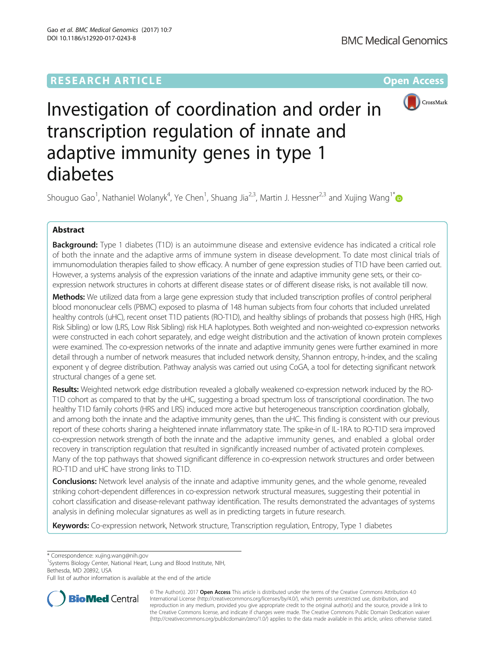

# Investigation of coordination and order in transcription regulation of innate and adaptive immunity genes in type 1 diabetes

Shouguo Gao<sup>1</sup>, Nathaniel Wolanyk<sup>4</sup>, Ye Chen<sup>1</sup>, Shuang Jia<sup>2,3</sup>, Martin J. Hessner<sup>2,3</sup> and Xujing Wang<sup>1\*</sup>

# Abstract

Background: Type 1 diabetes (T1D) is an autoimmune disease and extensive evidence has indicated a critical role of both the innate and the adaptive arms of immune system in disease development. To date most clinical trials of immunomodulation therapies failed to show efficacy. A number of gene expression studies of T1D have been carried out. However, a systems analysis of the expression variations of the innate and adaptive immunity gene sets, or their coexpression network structures in cohorts at different disease states or of different disease risks, is not available till now.

Methods: We utilized data from a large gene expression study that included transcription profiles of control peripheral blood mononuclear cells (PBMC) exposed to plasma of 148 human subjects from four cohorts that included unrelated healthy controls (uHC), recent onset T1D patients (RO-T1D), and healthy siblings of probands that possess high (HRS, High Risk Sibling) or low (LRS, Low Risk Sibling) risk HLA haplotypes. Both weighted and non-weighted co-expression networks were constructed in each cohort separately, and edge weight distribution and the activation of known protein complexes were examined. The co-expression networks of the innate and adaptive immunity genes were further examined in more detail through a number of network measures that included network density, Shannon entropy, h-index, and the scaling exponent γ of degree distribution. Pathway analysis was carried out using CoGA, a tool for detecting significant network structural changes of a gene set.

Results: Weighted network edge distribution revealed a globally weakened co-expression network induced by the RO-T1D cohort as compared to that by the uHC, suggesting a broad spectrum loss of transcriptional coordination. The two healthy T1D family cohorts (HRS and LRS) induced more active but heterogeneous transcription coordination globally, and among both the innate and the adaptive immunity genes, than the uHC. This finding is consistent with our previous report of these cohorts sharing a heightened innate inflammatory state. The spike-in of IL-1RA to RO-T1D sera improved co-expression network strength of both the innate and the adaptive immunity genes, and enabled a global order recovery in transcription regulation that resulted in significantly increased number of activated protein complexes. Many of the top pathways that showed significant difference in co-expression network structures and order between RO-T1D and uHC have strong links to T1D.

**Conclusions:** Network level analysis of the innate and adaptive immunity genes, and the whole genome, revealed striking cohort-dependent differences in co-expression network structural measures, suggesting their potential in cohort classification and disease-relevant pathway identification. The results demonstrated the advantages of systems analysis in defining molecular signatures as well as in predicting targets in future research.

Keywords: Co-expression network, Network structure, Transcription regulation, Entropy, Type 1 diabetes

\* Correspondence: [xujing.wang@nih.gov](mailto:xujing.wang@nih.gov) <sup>1</sup>

<sup>1</sup>Systems Biology Center, National Heart, Lung and Blood Institute, NIH, Bethesda, MD 20892, USA

Full list of author information is available at the end of the article



© The Author(s). 2017 **Open Access** This article is distributed under the terms of the Creative Commons Attribution 4.0 International License [\(http://creativecommons.org/licenses/by/4.0/](http://creativecommons.org/licenses/by/4.0/)), which permits unrestricted use, distribution, and reproduction in any medium, provided you give appropriate credit to the original author(s) and the source, provide a link to the Creative Commons license, and indicate if changes were made. The Creative Commons Public Domain Dedication waiver [\(http://creativecommons.org/publicdomain/zero/1.0/](http://creativecommons.org/publicdomain/zero/1.0/)) applies to the data made available in this article, unless otherwise stated.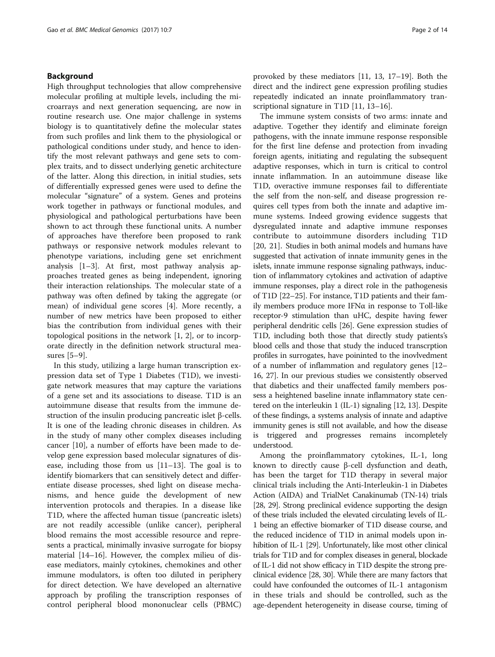## Background

High throughput technologies that allow comprehensive molecular profiling at multiple levels, including the microarrays and next generation sequencing, are now in routine research use. One major challenge in systems biology is to quantitatively define the molecular states from such profiles and link them to the physiological or pathological conditions under study, and hence to identify the most relevant pathways and gene sets to complex traits, and to dissect underlying genetic architecture of the latter. Along this direction, in initial studies, sets of differentially expressed genes were used to define the molecular "signature" of a system. Genes and proteins work together in pathways or functional modules, and physiological and pathological perturbations have been shown to act through these functional units. A number of approaches have therefore been proposed to rank pathways or responsive network modules relevant to phenotype variations, including gene set enrichment analysis [\[1](#page-12-0)–[3](#page-12-0)]. At first, most pathway analysis approaches treated genes as being independent, ignoring their interaction relationships. The molecular state of a pathway was often defined by taking the aggregate (or mean) of individual gene scores [[4](#page-12-0)]. More recently, a number of new metrics have been proposed to either bias the contribution from individual genes with their topological positions in the network [[1, 2](#page-12-0)], or to incorporate directly in the definition network structural measures [[5](#page-12-0)–[9](#page-12-0)].

In this study, utilizing a large human transcription expression data set of Type 1 Diabetes (T1D), we investigate network measures that may capture the variations of a gene set and its associations to disease. T1D is an autoimmune disease that results from the immune destruction of the insulin producing pancreatic islet β-cells. It is one of the leading chronic diseases in children. As in the study of many other complex diseases including cancer [\[10](#page-12-0)], a number of efforts have been made to develop gene expression based molecular signatures of disease, including those from us [\[11](#page-12-0)–[13](#page-12-0)]. The goal is to identify biomarkers that can sensitively detect and differentiate disease processes, shed light on disease mechanisms, and hence guide the development of new intervention protocols and therapies. In a disease like T1D, where the affected human tissue (pancreatic islets) are not readily accessible (unlike cancer), peripheral blood remains the most accessible resource and represents a practical, minimally invasive surrogate for biopsy material [[14](#page-12-0)–[16](#page-12-0)]. However, the complex milieu of disease mediators, mainly cytokines, chemokines and other immune modulators, is often too diluted in periphery for direct detection. We have developed an alternative approach by profiling the transcription responses of control peripheral blood mononuclear cells (PBMC) provoked by these mediators [\[11](#page-12-0), [13](#page-12-0), [17](#page-12-0)–[19](#page-12-0)]. Both the direct and the indirect gene expression profiling studies repeatedly indicated an innate proinflammatory transcriptional signature in T1D [[11](#page-12-0), [13](#page-12-0)–[16\]](#page-12-0).

The immune system consists of two arms: innate and adaptive. Together they identify and eliminate foreign pathogens, with the innate immune response responsible for the first line defense and protection from invading foreign agents, initiating and regulating the subsequent adaptive responses, which in turn is critical to control innate inflammation. In an autoimmune disease like T1D, overactive immune responses fail to differentiate the self from the non-self, and disease progression requires cell types from both the innate and adaptive immune systems. Indeed growing evidence suggests that dysregulated innate and adaptive immune responses contribute to autoimmune disorders including T1D [[20, 21](#page-12-0)]. Studies in both animal models and humans have suggested that activation of innate immunity genes in the islets, innate immune response signaling pathways, induction of inflammatory cytokines and activation of adaptive immune responses, play a direct role in the pathogenesis of T1D [\[22](#page-12-0)–[25](#page-12-0)]. For instance, T1D patients and their family members produce more IFNα in response to Toll-like receptor-9 stimulation than uHC, despite having fewer peripheral dendritic cells [\[26](#page-12-0)]. Gene expression studies of T1D, including both those that directly study patients's blood cells and those that study the induced transcrption profiles in surrogates, have poininted to the inovlvedment of a number of inflammation and regulatory genes [\[12](#page-12-0)– [16](#page-12-0), [27\]](#page-12-0). In our previous studies we consistently observed that diabetics and their unaffected family members possess a heightened baseline innate inflammatory state centered on the interleukin 1 (IL-1) signaling [[12](#page-12-0), [13\]](#page-12-0). Despite of these findings, a systems analysis of innate and adaptive immunity genes is still not available, and how the disease is triggered and progresses remains incompletely understood.

Among the proinflammatory cytokines, IL-1, long known to directly cause β-cell dysfunction and death, has been the target for T1D therapy in several major clinical trials including the Anti-Interleukin-1 in Diabetes Action (AIDA) and TrialNet Canakinumab (TN-14) trials [[28](#page-12-0), [29](#page-12-0)]. Strong preclinical evidence supporting the design of these trials included the elevated circulating levels of IL-1 being an effective biomarker of T1D disease course, and the reduced incidence of T1D in animal models upon in-hibition of IL-1 [\[29\]](#page-12-0). Unfortunately, like most other clinical trials for T1D and for complex diseases in general, blockade of IL-1 did not show efficacy in T1D despite the strong preclinical evidence [\[28, 30](#page-12-0)]. While there are many factors that could have confounded the outcomes of IL-1 antagonism in these trials and should be controlled, such as the age-dependent heterogeneity in disease course, timing of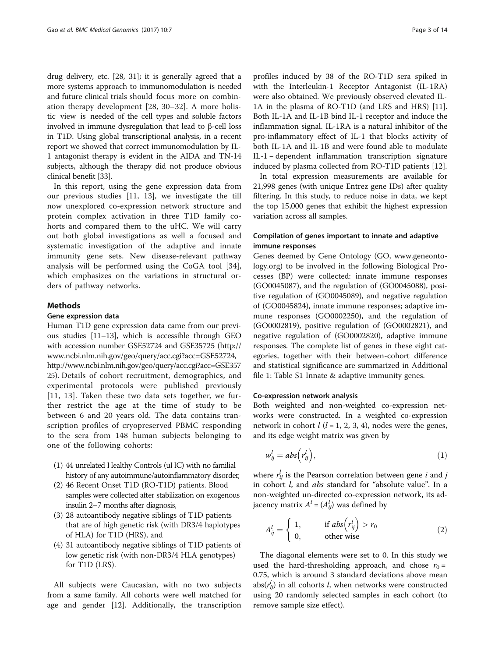<span id="page-2-0"></span>drug delivery, etc. [[28](#page-12-0), [31\]](#page-12-0); it is generally agreed that a more systems approach to immunomodulation is needed and future clinical trials should focus more on combination therapy development [\[28](#page-12-0), [30](#page-12-0)–[32\]](#page-12-0). A more holistic view is needed of the cell types and soluble factors involved in immune dysregulation that lead to β-cell loss in T1D. Using global transcriptional analysis, in a recent report we showed that correct immunomodulation by IL-1 antagonist therapy is evident in the AIDA and TN-14 subjects, although the therapy did not produce obvious clinical benefit [\[33](#page-12-0)].

In this report, using the gene expression data from our previous studies [\[11](#page-12-0), [13](#page-12-0)], we investigate the till now unexplored co-expression network structure and protein complex activation in three T1D family cohorts and compared them to the uHC. We will carry out both global investigations as well a focused and systematic investigation of the adaptive and innate immunity gene sets. New disease-relevant pathway analysis will be performed using the CoGA tool [\[34](#page-12-0)], which emphasizes on the variations in structural orders of pathway networks.

## Methods

## Gene expression data

Human T1D gene expression data came from our previous studies [\[11](#page-12-0)–[13](#page-12-0)], which is accessible through GEO with accession number GSE52724 and GSE35725 ([http://](http://www.ncbi.nlm.nih.gov/geo/query/acc.cgi?acc=GSE52724) [www.ncbi.nlm.nih.gov/geo/query/acc.cgi?acc=GSE52724,](http://www.ncbi.nlm.nih.gov/geo/query/acc.cgi?acc=GSE52724) [http://www.ncbi.nlm.nih.gov/geo/query/acc.cgi?acc=GSE357](http://www.ncbi.nlm.nih.gov/geo/query/acc.cgi?acc=GSE35725) [25](http://www.ncbi.nlm.nih.gov/geo/query/acc.cgi?acc=GSE35725)). Details of cohort recruitment, demographics, and experimental protocols were published previously [[11](#page-12-0), [13](#page-12-0)]. Taken these two data sets together, we further restrict the age at the time of study to be between 6 and 20 years old. The data contains transcription profiles of cryopreserved PBMC responding to the sera from 148 human subjects belonging to one of the following cohorts:

- (1) 44 unrelated Healthy Controls (uHC) with no familial history of any autoimmune/autoinflammatory disorder,
- (2) 46 Recent Onset T1D (RO-T1D) patients. Blood samples were collected after stabilization on exogenous insulin 2–7 months after diagnosis,
- (3) 28 autoantibody negative siblings of T1D patients that are of high genetic risk (with DR3/4 haplotypes of HLA) for T1D (HRS), and
- (4) 31 autoantibody negative siblings of T1D patients of low genetic risk (with non-DR3/4 HLA genotypes) for T1D (LRS).

All subjects were Caucasian, with no two subjects from a same family. All cohorts were well matched for age and gender [[12\]](#page-12-0). Additionally, the transcription

profiles induced by 38 of the RO-T1D sera spiked in with the Interleukin-1 Receptor Antagonist (IL-1RA) were also obtained. We previously observed elevated IL-1A in the plasma of RO-T1D (and LRS and HRS) [\[11](#page-12-0)]. Both IL-1A and IL-1B bind IL-1 receptor and induce the inflammation signal. IL-1RA is a natural inhibitor of the pro-inflammatory effect of IL-1 that blocks activity of both IL-1A and IL-1B and were found able to modulate IL-1 − dependent inflammation transcription signature induced by plasma collected from RO-T1D patients [[12\]](#page-12-0).

In total expression measurements are available for 21,998 genes (with unique Entrez gene IDs) after quality filtering. In this study, to reduce noise in data, we kept the top 15,000 genes that exhibit the highest expression variation across all samples.

## Compilation of genes important to innate and adaptive immune responses

Genes deemed by Gene Ontology (GO, [www.geneonto](http://www.geneontology.org/)[logy.org](http://www.geneontology.org/)) to be involved in the following Biological Processes (BP) were collected: innate immune responses (GO0045087), and the regulation of (GO0045088), positive regulation of (GO0045089), and negative regulation of (GO0045824), innate immune responses; adaptive immune responses (GO0002250), and the regulation of (GO0002819), positive regulation of (GO0002821), and negative regulation of (GO0002820), adaptive immune responses. The complete list of genes in these eight categories, together with their between-cohort difference and statistical significance are summarized in Additional file [1:](#page-11-0) Table S1 Innate & adaptive immunity genes.

#### Co-expression network analysis

Both weighted and non-weighted co-expression networks were constructed. In a weighted co-expression network in cohort  $l$  ( $l = 1, 2, 3, 4$ ), nodes were the genes, and its edge weight matrix was given by

$$
w_{ij}^l = abs\left(r_{ij}^l\right),\tag{1}
$$

where  $r_{ij}^l$  is the Pearson correlation between gene *i* and *j* in cohort l, and abs standard for "absolute value". In a non-weighted un-directed co-expression network, its adjacency matrix  $A^l = (A_{ij}^l)$  was defined by

$$
A_{ij}^l = \begin{cases} 1, & \text{if } abs\left(r_{ij}^l\right) > r_0 \\ 0, & \text{other wise} \end{cases} \tag{2}
$$

The diagonal elements were set to 0. In this study we used the hard-thresholding approach, and chose  $r_0 =$ 0.75, which is around 3 standard deviations above mean abs( $r_{ij}^l$ ) in all cohorts *l*, when networks were constructed using 20 randomly selected samples in each cohort (to remove sample size effect).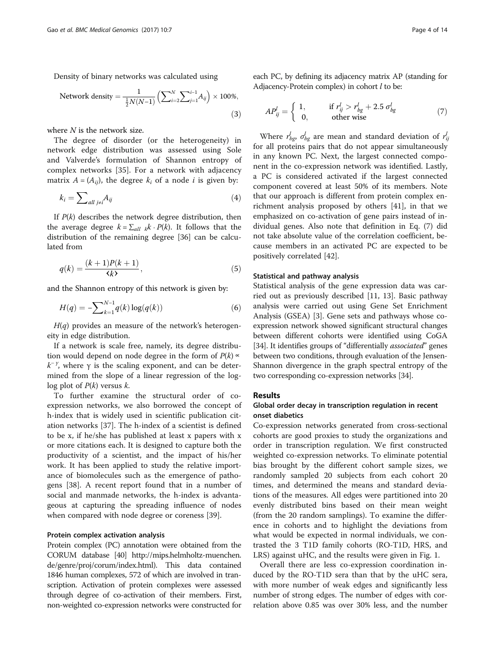Density of binary networks was calculated using

Network density 
$$
=\frac{1}{\frac{1}{2}N(N-1)} \left( \sum_{i=2}^{N} \sum_{j=1}^{i-1} A_{ij} \right) \times 100\%,
$$
 (3)

where  $N$  is the network size.

The degree of disorder (or the heterogeneity) in network edge distribution was assessed using Sole and Valverde's formulation of Shannon entropy of complex networks [[35](#page-12-0)]. For a network with adjacency matrix  $A = (A_{ii})$ , the degree  $k_i$  of a node *i* is given by:

$$
k_i = \sum_{all \ j \neq i} A_{ij} \tag{4}
$$

If  $P(k)$  describes the network degree distribution, then the average degree  $k = \sum_{all} k \cdot P(k)$ . It follows that the distribution of the remaining degree [[36\]](#page-12-0) can be calculated from

$$
q(k) = \frac{(k+1)P(k+1)}{\langle k \rangle},\tag{5}
$$

and the Shannon entropy of this network is given by:

$$
H(q) = -\sum_{k=1}^{N-1} q(k) \log(q(k))
$$
 (6)

 $H(q)$  provides an measure of the network's heterogeneity in edge distribution.

If a network is scale free, namely, its degree distribution would depend on node degree in the form of  $P(k) \propto$  $k^{-\gamma}$ , where  $\gamma$  is the scaling exponent, and can be determined from the slope of a linear regression of the log- $\log$  plot of  $P(k)$  versus k.

To further examine the structural order of coexpression networks, we also borrowed the concept of h-index that is widely used in scientific publication citation networks [\[37\]](#page-12-0). The h-index of a scientist is defined to be x, if he/she has published at least x papers with x or more citations each. It is designed to capture both the productivity of a scientist, and the impact of his/her work. It has been applied to study the relative importance of biomolecules such as the emergence of pathogens [[38\]](#page-12-0). A recent report found that in a number of social and manmade networks, the h-index is advantageous at capturing the spreading influence of nodes when compared with node degree or coreness [[39](#page-12-0)].

## Protein complex activation analysis

Protein complex (PC) annotation were obtained from the CORUM database [\[40\]](#page-12-0) [http://mips.helmholtz-muenchen.](http://mips.helmholtz-muenchen.de/genre/proj/corum/index.html) [de/genre/proj/corum/index.html](http://mips.helmholtz-muenchen.de/genre/proj/corum/index.html)). This data contained 1846 human complexes, 572 of which are involved in transcription. Activation of protein complexes were assessed through degree of co-activation of their members. First, non-weighted co-expression networks were constructed for each PC, by defining its adjacency matrix AP (standing for Adjacency-Protein complex) in cohort  $l$  to be:

$$
AP_{ij}^l = \begin{cases} 1, & \text{if } r_{ij}^l > r_{bg}^l + 2.5 \sigma_{bg}^l \\ 0, & \text{other wise} \end{cases} \tag{7}
$$

Where  $r_{bg}^l$   $\sigma_{bg}^l$  are mean and standard deviation of  $r_{ij}^l$ for all proteins pairs that do not appear simultaneously in any known PC. Next, the largest connected component in the co-expression network was identified. Lastly, a PC is considered activated if the largest connected component covered at least 50% of its members. Note that our approach is different from protein complex enrichment analysis proposed by others [\[41](#page-12-0)], in that we emphasized on co-activation of gene pairs instead of individual genes. Also note that definition in Eq. (7) did not take absolute value of the correlation coefficient, because members in an activated PC are expected to be positively correlated [\[42\]](#page-12-0).

#### Statistical and pathway analysis

Statistical analysis of the gene expression data was carried out as previously described [\[11, 13\]](#page-12-0). Basic pathway analysis were carried out using Gene Set Enrichment Analysis (GSEA) [[3\]](#page-12-0). Gene sets and pathways whose coexpression network showed significant structural changes between different cohorts were identified using CoGA [[34](#page-12-0)]. It identifies groups of "differentially *associated*" genes between two conditions, through evaluation of the Jensen-Shannon divergence in the graph spectral entropy of the two corresponding co-expression networks [[34](#page-12-0)].

#### Results

## Global order decay in transcription regulation in recent onset diabetics

Co-expression networks generated from cross-sectional cohorts are good proxies to study the organizations and order in transcription regulation. We first constructed weighted co-expression networks. To eliminate potential bias brought by the different cohort sample sizes, we randomly sampled 20 subjects from each cohort 20 times, and determined the means and standard deviations of the measures. All edges were partitioned into 20 evenly distributed bins based on their mean weight (from the 20 random samplings). To examine the difference in cohorts and to highlight the deviations from what would be expected in normal individuals, we contrasted the 3 T1D family cohorts (RO-T1D, HRS, and LRS) against uHC, and the results were given in Fig. [1](#page-4-0).

Overall there are less co-expression coordination induced by the RO-T1D sera than that by the uHC sera, with more number of weak edges and significantly less number of strong edges. The number of edges with correlation above 0.85 was over 30% less, and the number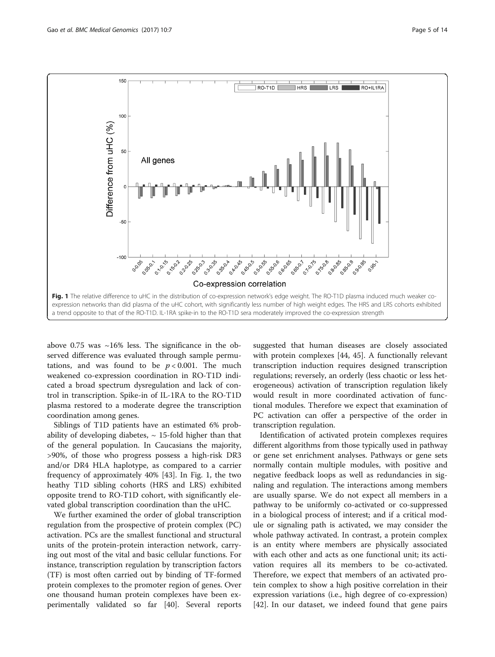<span id="page-4-0"></span>

above 0.75 was  $\sim$ 16% less. The significance in the observed difference was evaluated through sample permutations, and was found to be  $p < 0.001$ . The much weakened co-expression coordination in RO-T1D indicated a broad spectrum dysregulation and lack of control in transcription. Spike-in of IL-1RA to the RO-T1D plasma restored to a moderate degree the transcription coordination among genes.

Siblings of T1D patients have an estimated 6% probability of developing diabetes,  $\sim$  15-fold higher than that of the general population. In Caucasians the majority, >90%, of those who progress possess a high-risk DR3 and/or DR4 HLA haplotype, as compared to a carrier frequency of approximately 40% [[43\]](#page-12-0). In Fig. 1, the two heathy T1D sibling cohorts (HRS and LRS) exhibited opposite trend to RO-T1D cohort, with significantly elevated global transcription coordination than the uHC.

We further examined the order of global transcription regulation from the prospective of protein complex (PC) activation. PCs are the smallest functional and structural units of the protein-protein interaction network, carrying out most of the vital and basic cellular functions. For instance, transcription regulation by transcription factors (TF) is most often carried out by binding of TF-formed protein complexes to the promoter region of genes. Over one thousand human protein complexes have been experimentally validated so far [\[40](#page-12-0)]. Several reports

suggested that human diseases are closely associated with protein complexes [\[44, 45\]](#page-12-0). A functionally relevant transcription induction requires designed transcription regulations; reversely, an orderly (less chaotic or less heterogeneous) activation of transcription regulation likely would result in more coordinated activation of functional modules. Therefore we expect that examination of PC activation can offer a perspective of the order in transcription regulation.

Identification of activated protein complexes requires different algorithms from those typically used in pathway or gene set enrichment analyses. Pathways or gene sets normally contain multiple modules, with positive and negative feedback loops as well as redundancies in signaling and regulation. The interactions among members are usually sparse. We do not expect all members in a pathway to be uniformly co-activated or co-suppressed in a biological process of interest; and if a critical module or signaling path is activated, we may consider the whole pathway activated. In contrast, a protein complex is an entity where members are physically associated with each other and acts as one functional unit; its activation requires all its members to be co-activated. Therefore, we expect that members of an activated protein complex to show a high positive correlation in their expression variations (i.e., high degree of co-expression) [[42\]](#page-12-0). In our dataset, we indeed found that gene pairs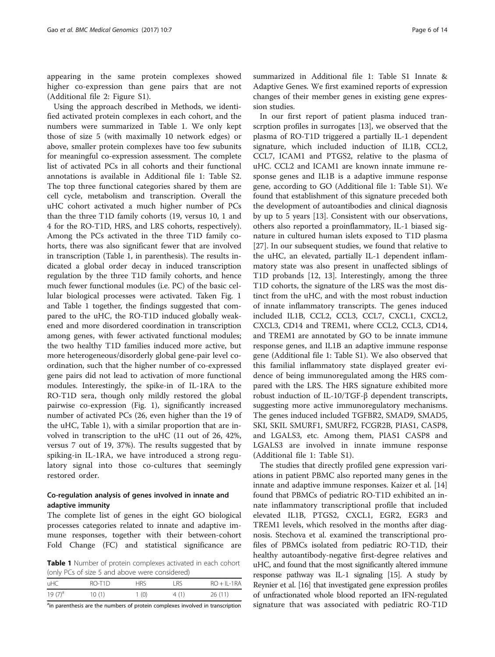appearing in the same protein complexes showed higher co-expression than gene pairs that are not (Additional file [2:](#page-11-0) Figure S1).

Using the approach described in Methods, we identified activated protein complexes in each cohort, and the numbers were summarized in Table 1. We only kept those of size 5 (with maximally 10 network edges) or above, smaller protein complexes have too few subunits for meaningful co-expression assessment. The complete list of activated PCs in all cohorts and their functional annotations is available in Additional file [1](#page-11-0): Table S2. The top three functional categories shared by them are cell cycle, metabolism and transcription. Overall the uHC cohort activated a much higher number of PCs than the three T1D family cohorts (19, versus 10, 1 and 4 for the RO-T1D, HRS, and LRS cohorts, respectively). Among the PCs activated in the three T1D family cohorts, there was also significant fewer that are involved in transcription (Table 1, in parenthesis). The results indicated a global order decay in induced transcription regulation by the three T1D family cohorts, and hence much fewer functional modules (i.e. PC) of the basic cellular biological processes were activated. Taken Fig. [1](#page-4-0) and Table 1 together, the findings suggested that compared to the uHC, the RO-T1D induced globally weakened and more disordered coordination in transcription among genes, with fewer activated functional modules; the two healthy T1D families induced more active, but more heterogeneous/disorderly global gene-pair level coordination, such that the higher number of co-expressed gene pairs did not lead to activation of more functional modules. Interestingly, the spike-in of IL-1RA to the RO-T1D sera, though only mildly restored the global pairwise co-expression (Fig. [1\)](#page-4-0), significantly increased number of activated PCs (26, even higher than the 19 of the uHC, Table 1), with a similar proportion that are involved in transcription to the uHC (11 out of 26, 42%, versus 7 out of 19, 37%). The results suggested that by spiking-in IL-1RA, we have introduced a strong regulatory signal into those co-cultures that seemingly restored order.

## Co-regulation analysis of genes involved in innate and adaptive immunity

The complete list of genes in the eight GO biological processes categories related to innate and adaptive immune responses, together with their between-cohort Fold Change (FC) and statistical significance are

Table 1 Number of protein complexes activated in each cohort (only PCs of size 5 and above were considered)

| uHC       | RO-T1D | HRS. | i RS | $RO + IL-1RA$ |
|-----------|--------|------|------|---------------|
| $19(7)^a$ | 10(1)  | 1(0) | 4(1) | 26(11)        |

<sup>a</sup>in parenthesis are the numbers of protein complexes involved in transcription

summarized in Additional file [1](#page-11-0): Table S1 Innate & Adaptive Genes. We first examined reports of expression changes of their member genes in existing gene expression studies.

In our first report of patient plasma induced transcrption profiles in surrogates [\[13\]](#page-12-0), we observed that the plasma of RO-T1D triggered a partially IL-1 dependent signature, which included induction of IL1B, CCL2, CCL7, ICAM1 and PTGS2, relative to the plasma of uHC. CCL2 and ICAM1 are known innate immune response genes and IL1B is a adaptive immune response gene, according to GO (Additional file [1](#page-11-0): Table S1). We found that establishment of this signature preceded both the development of autoantibodies and clinical diagnosis by up to 5 years [[13\]](#page-12-0). Consistent with our observations, others also reported a proinflammatory, IL-1 biased signature in cultured human islets exposed to T1D plasma [[27\]](#page-12-0). In our subsequent studies, we found that relative to the uHC, an elevated, partially IL-1 dependent inflammatory state was also present in unaffected siblings of T1D probands [[12](#page-12-0), [13](#page-12-0)]. Interestingly, among the three T1D cohorts, the signature of the LRS was the most distinct from the uHC, and with the most robust induction of innate inflammatory transcripts. The genes induced included IL1B, CCL2, CCL3, CCL7, CXCL1, CXCL2, CXCL3, CD14 and TREM1, where CCL2, CCL3, CD14, and TREM1 are annotated by GO to be innate immune response genes, and IL1B an adaptive immune response gene (Additional file [1:](#page-11-0) Table S1). We also observed that this familial inflammatory state displayed greater evidence of being immunoregulated among the HRS compared with the LRS. The HRS signature exhibited more robust induction of IL-10/TGF-β dependent transcripts, suggesting more active immunoregulatory mechanisms. The genes induced included TGFBR2, SMAD9, SMAD5, SKI, SKIL SMURF1, SMURF2, FCGR2B, PIAS1, CASP8, and LGALS3, etc. Among them, PIAS1 CASP8 and LGALS3 are involved in innate immune response (Additional file [1:](#page-11-0) Table S1).

The studies that directly profiled gene expression variations in patient PBMC also reported many genes in the innate and adaptive immune responses. Kaizer et al. [[14](#page-12-0)] found that PBMCs of pediatric RO-T1D exhibited an innate inflammatory transcriptional profile that included elevated IL1B, PTGS2, CXCL1, EGR2, EGR3 and TREM1 levels, which resolved in the months after diagnosis. Stechova et al. examined the transcriptional profiles of PBMCs isolated from pediatric RO-T1D, their healthy autoantibody-negative first-degree relatives and uHC, and found that the most significantly altered immune response pathway was IL-1 signaling [\[15\]](#page-12-0). A study by Reynier et al. [\[16](#page-12-0)] that investigated gene expression profiles of unfractionated whole blood reported an IFN-regulated signature that was associated with pediatric RO-T1D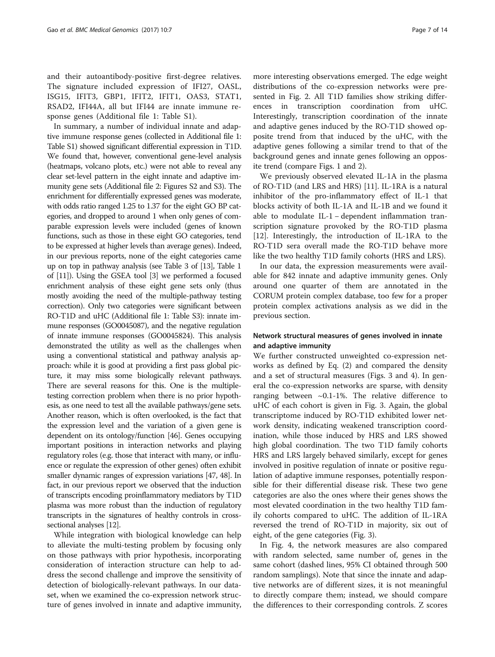and their autoantibody-positive first-degree relatives. The signature included expression of IFI27, OASL, ISG15, IFIT3, GBP1, IFIT2, IFIT1, OAS3, STAT1, RSAD2, IFI44A, all but IFI44 are innate immune response genes (Additional file [1:](#page-11-0) Table S1).

In summary, a number of individual innate and adaptive immune response genes (collected in Additional file [1](#page-11-0): Table S1) showed significant differential expression in T1D. We found that, however, conventional gene-level analysis (heatmaps, volcano plots, etc.) were not able to reveal any clear set-level pattern in the eight innate and adaptive immunity gene sets (Additional file [2:](#page-11-0) Figures S2 and S3). The enrichment for differentially expressed genes was moderate, with odds ratio ranged 1.25 to 1.37 for the eight GO BP categories, and dropped to around 1 when only genes of comparable expression levels were included (genes of known functions, such as those in these eight GO categories, tend to be expressed at higher levels than average genes). Indeed, in our previous reports, none of the eight categories came up on top in pathway analysis (see Table 3 of [\[13](#page-12-0)], Table 1 of [[11](#page-12-0)]). Using the GSEA tool [\[3\]](#page-12-0) we performed a focused enrichment analysis of these eight gene sets only (thus mostly avoiding the need of the multiple-pathway testing correction). Only two categories were significant between RO-T1D and uHC (Additional file [1:](#page-11-0) Table S3): innate immune responses (GO0045087), and the negative regulation of innate immune responses (GO0045824). This analysis demonstrated the utility as well as the challenges when using a conventional statistical and pathway analysis approach: while it is good at providing a first pass global picture, it may miss some biologically relevant pathways. There are several reasons for this. One is the multipletesting correction problem when there is no prior hypothesis, as one need to test all the available pathways/gene sets. Another reason, which is often overlooked, is the fact that the expression level and the variation of a given gene is dependent on its ontology/function [[46](#page-12-0)]. Genes occupying important positions in interaction networks and playing regulatory roles (e.g. those that interact with many, or influence or regulate the expression of other genes) often exhibit smaller dynamic ranges of expression variations [\[47, 48](#page-13-0)]. In fact, in our previous report we observed that the induction of transcripts encoding proinflammatory mediators by T1D plasma was more robust than the induction of regulatory transcripts in the signatures of healthy controls in crosssectional analyses [[12](#page-12-0)].

While integration with biological knowledge can help to alleviate the multi-testing problem by focusing only on those pathways with prior hypothesis, incorporating consideration of interaction structure can help to address the second challenge and improve the sensitivity of detection of biologically-relevant pathways. In our dataset, when we examined the co-expression network structure of genes involved in innate and adaptive immunity,

more interesting observations emerged. The edge weight distributions of the co-expression networks were presented in Fig. [2.](#page-7-0) All T1D families show striking differences in transcription coordination from uHC. Interestingly, transcription coordination of the innate and adaptive genes induced by the RO-T1D showed opposite trend from that induced by the uHC, with the adaptive genes following a similar trend to that of the background genes and innate genes following an opposite trend (compare Figs. [1](#page-4-0) and [2\)](#page-7-0).

We previously observed elevated IL-1A in the plasma of RO-T1D (and LRS and HRS) [\[11\]](#page-12-0). IL-1RA is a natural inhibitor of the pro-inflammatory effect of IL-1 that blocks activity of both IL-1A and IL-1B and we found it able to modulate IL-1 − dependent inflammation transcription signature provoked by the RO-T1D plasma [[12\]](#page-12-0). Interestingly, the introduction of IL-1RA to the RO-T1D sera overall made the RO-T1D behave more like the two healthy T1D family cohorts (HRS and LRS).

In our data, the expression measurements were available for 842 innate and adaptive immunity genes. Only around one quarter of them are annotated in the CORUM protein complex database, too few for a proper protein complex activations analysis as we did in the previous section.

## Network structural measures of genes involved in innate and adaptive immunity

We further constructed unweighted co-expression networks as defined by Eq. [\(2](#page-2-0)) and compared the density and a set of structural measures (Figs. [3](#page-8-0) and [4](#page-8-0)). In general the co-expression networks are sparse, with density ranging between  $\sim 0.1$ -1%. The relative difference to uHC of each cohort is given in Fig. [3](#page-8-0). Again, the global transcriptome induced by RO-T1D exhibited lower network density, indicating weakened transcription coordination, while those induced by HRS and LRS showed high global coordination. The two T1D family cohorts HRS and LRS largely behaved similarly, except for genes involved in positive regulation of innate or positive regulation of adaptive immune responses, potentially responsible for their differential disease risk. These two gene categories are also the ones where their genes shows the most elevated coordination in the two healthy T1D family cohorts compared to uHC. The addition of IL-1RA reversed the trend of RO-T1D in majority, six out of eight, of the gene categories (Fig. [3\)](#page-8-0).

In Fig. [4](#page-8-0), the network measures are also compared with random selected, same number of, genes in the same cohort (dashed lines, 95% CI obtained through 500 random samplings). Note that since the innate and adaptive networks are of different sizes, it is not meaningful to directly compare them; instead, we should compare the differences to their corresponding controls. Z scores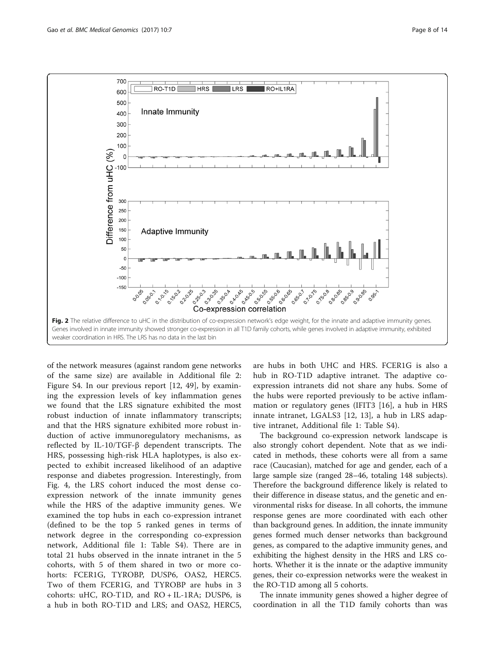<span id="page-7-0"></span>

of the network measures (against random gene networks of the same size) are available in Additional file [2](#page-11-0): Figure S4. In our previous report [\[12](#page-12-0), [49](#page-13-0)], by examining the expression levels of key inflammation genes we found that the LRS signature exhibited the most robust induction of innate inflammatory transcripts; and that the HRS signature exhibited more robust induction of active immunoregulatory mechanisms, as reflected by IL-10/TGF-β dependent transcripts. The HRS, possessing high-risk HLA haplotypes, is also expected to exhibit increased likelihood of an adaptive response and diabetes progression. Interestingly, from Fig. [4](#page-8-0), the LRS cohort induced the most dense coexpression network of the innate immunity genes while the HRS of the adaptive immunity genes. We examined the top hubs in each co-expression intranet (defined to be the top 5 ranked genes in terms of network degree in the corresponding co-expression network, Additional file [1:](#page-11-0) Table S4). There are in total 21 hubs observed in the innate intranet in the 5 cohorts, with 5 of them shared in two or more cohorts: FCER1G, TYROBP, DUSP6, OAS2, HERC5. Two of them FCER1G, and TYROBP are hubs in 3 cohorts: uHC, RO-T1D, and RO + IL-1RA; DUSP6, is a hub in both RO-T1D and LRS; and OAS2, HERC5, are hubs in both UHC and HRS. FCER1G is also a hub in RO-T1D adaptive intranet. The adaptive coexpression intranets did not share any hubs. Some of the hubs were reported previously to be active inflammation or regulatory genes (IFIT3 [\[16](#page-12-0)], a hub in HRS innate intranet, LGALS3 [\[12](#page-12-0), [13\]](#page-12-0), a hub in LRS adaptive intranet, Additional file [1](#page-11-0): Table S4).

The background co-expression network landscape is also strongly cohort dependent. Note that as we indicated in methods, these cohorts were all from a same race (Caucasian), matched for age and gender, each of a large sample size (ranged 28–46, totaling 148 subjects). Therefore the background difference likely is related to their difference in disease status, and the genetic and environmental risks for disease. In all cohorts, the immune response genes are more coordinated with each other than background genes. In addition, the innate immunity genes formed much denser networks than background genes, as compared to the adaptive immunity genes, and exhibiting the highest density in the HRS and LRS cohorts. Whether it is the innate or the adaptive immunity genes, their co-expression networks were the weakest in the RO-T1D among all 5 cohorts.

The innate immunity genes showed a higher degree of coordination in all the T1D family cohorts than was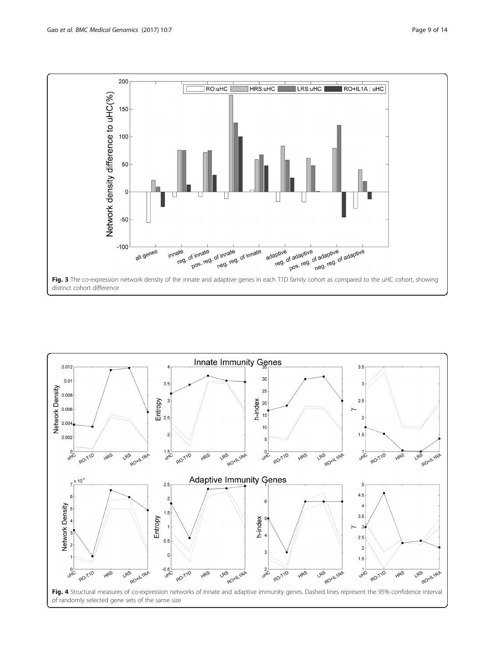<span id="page-8-0"></span>

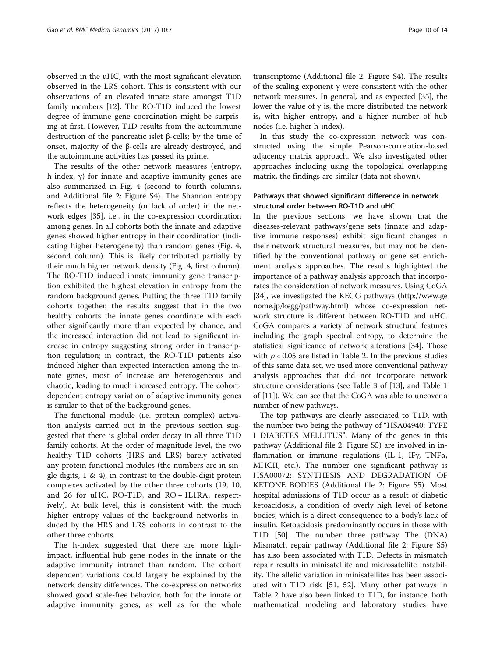observed in the uHC, with the most significant elevation observed in the LRS cohort. This is consistent with our observations of an elevated innate state amongst T1D family members [\[12\]](#page-12-0). The RO-T1D induced the lowest degree of immune gene coordination might be surprising at first. However, T1D results from the autoimmune destruction of the pancreatic islet β-cells; by the time of onset, majority of the β-cells are already destroyed, and the autoimmune activities has passed its prime.

The results of the other network measures (entropy, h-index,  $γ$ ) for innate and adaptive immunity genes are also summarized in Fig. [4](#page-8-0) (second to fourth columns, and Additional file [2](#page-11-0): Figure S4). The Shannon entropy reflects the heterogeneity (or lack of order) in the network edges [\[35](#page-12-0)], i.e., in the co-expression coordination among genes. In all cohorts both the innate and adaptive genes showed higher entropy in their coordination (indicating higher heterogeneity) than random genes (Fig. [4](#page-8-0), second column). This is likely contributed partially by their much higher network density (Fig. [4,](#page-8-0) first column). The RO-T1D induced innate immunity gene transcription exhibited the highest elevation in entropy from the random background genes. Putting the three T1D family cohorts together, the results suggest that in the two healthy cohorts the innate genes coordinate with each other significantly more than expected by chance, and the increased interaction did not lead to significant increase in entropy suggesting strong order in transcription regulation; in contract, the RO-T1D patients also induced higher than expected interaction among the innate genes, most of increase are heterogeneous and chaotic, leading to much increased entropy. The cohortdependent entropy variation of adaptive immunity genes is similar to that of the background genes.

The functional module (i.e. protein complex) activation analysis carried out in the previous section suggested that there is global order decay in all three T1D family cohorts. At the order of magnitude level, the two healthy T1D cohorts (HRS and LRS) barely activated any protein functional modules (the numbers are in single digits, 1 & 4), in contrast to the double-digit protein complexes activated by the other three cohorts (19, 10, and 26 for uHC, RO-T1D, and RO + 1L1RA, respectively). At bulk level, this is consistent with the much higher entropy values of the background networks induced by the HRS and LRS cohorts in contrast to the other three cohorts.

The h-index suggested that there are more highimpact, influential hub gene nodes in the innate or the adaptive immunity intranet than random. The cohort dependent variations could largely be explained by the network density differences. The co-expression networks showed good scale-free behavior, both for the innate or adaptive immunity genes, as well as for the whole

transcriptome (Additional file 2: Figure S4). The results of the scaling exponent γ were consistent with the other network measures. In general, and as expected [[35\]](#page-12-0), the lower the value of  $γ$  is, the more distributed the network is, with higher entropy, and a higher number of hub nodes (i.e. higher h-index).

In this study the co-expression network was constructed using the simple Pearson-correlation-based adjacency matrix approach. We also investigated other approaches including using the topological overlapping matrix, the findings are similar (data not shown).

## Pathways that showed significant difference in network structural order between RO-T1D and uHC

In the previous sections, we have shown that the diseases-relevant pathways/gene sets (innate and adaptive immune responses) exhibit significant changes in their network structural measures, but may not be identified by the conventional pathway or gene set enrichment analysis approaches. The results highlighted the importance of a pathway analysis approach that incorporates the consideration of network measures. Using CoGA [[34](#page-12-0)], we investigated the KEGG pathways ([http://www.ge](http://www.genome.jp/kegg/pathway.html) [nome.jp/kegg/pathway.html](http://www.genome.jp/kegg/pathway.html)) whose co-expression network structure is different between RO-T1D and uHC. CoGA compares a variety of network structural features including the graph spectral entropy, to determine the statistical significance of network alterations [[34](#page-12-0)]. Those with  $p < 0.05$  are listed in Table [2](#page-10-0). In the previous studies of this same data set, we used more conventional pathway analysis approaches that did not incorporate network structure considerations (see Table 3 of [\[13\]](#page-12-0), and Table 1 of [[11](#page-12-0)]). We can see that the CoGA was able to uncover a number of new pathways.

The top pathways are clearly associated to T1D, with the number two being the pathway of "HSA04940: TYPE I DIABETES MELLITUS". Many of the genes in this pathway (Additional file [2:](#page-11-0) Figure S5) are involved in inflammation or immune regulations (IL-1, IFγ, TNFα, MHCII, etc.). The number one significant pathway is HSA00072: SYNTHESIS AND DEGRADATION OF KETONE BODIES (Additional file [2:](#page-11-0) Figure S5). Most hospital admissions of T1D occur as a result of diabetic ketoacidosis, a condition of overly high level of ketone bodies, which is a direct consequence to a body's lack of insulin. Ketoacidosis predominantly occurs in those with T1D [[50](#page-13-0)]. The number three pathway The (DNA) Mismatch repair pathway (Additional file [2:](#page-11-0) Figure S5) has also been associated with T1D. Defects in mismatch repair results in minisatellite and microsatellite instability. The allelic variation in minisatellites has been associated with T1D risk [[51, 52\]](#page-13-0). Many other pathways in Table [2](#page-10-0) have also been linked to T1D, for instance, both mathematical modeling and laboratory studies have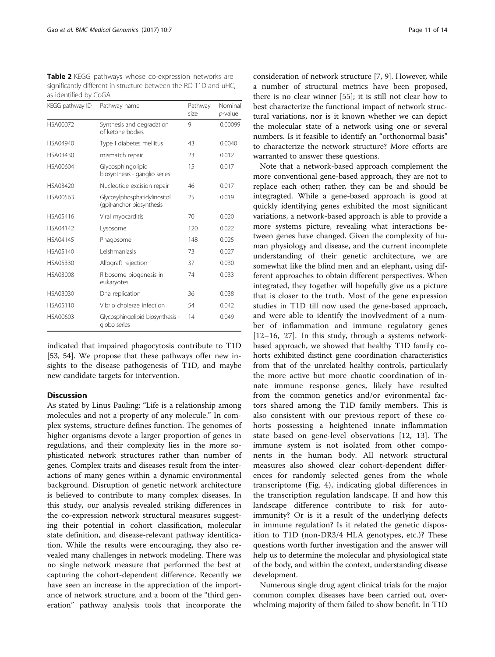<span id="page-10-0"></span>Table 2 KEGG pathways whose co-expression networks are significantly different in structure between the RO-T1D and uHC, as identified by CoGA

| KEGG pathway ID | Pathway name                                              | Pathway<br>size | Nominal<br>p-value |
|-----------------|-----------------------------------------------------------|-----------------|--------------------|
| HSA00072        | Synthesis and degradation<br>of ketone bodies             | 9               | 0.00099            |
| HSA04940        | Type I diabetes mellitus                                  | 43              | 0.0040             |
| HSA03430        | mismatch repair                                           | 23              | 0.012              |
| HSA00604        | Glycosphingolipid<br>biosynthesis - ganglio series        | 15              | 0.017              |
| HSA03420        | Nucleotide excision repair                                | 46              | 0.017              |
| HSA00563        | Glycosylphosphatidylinositol<br>(qpi)-anchor biosynthesis | 25              | 0.019              |
| HSA05416        | Viral myocarditis                                         | 70              | 0.020              |
| HSA04142        | Lysosome                                                  | 120             | 0.022              |
| HSA04145        | Phagosome                                                 | 148             | 0.025              |
| HSA05140        | Leishmaniasis                                             | 73              | 0.027              |
| HSA05330        | Allograft rejection                                       | 37              | 0.030              |
| HSA03008        | Ribosome biogenesis in<br>eukaryotes                      | 74              | 0.033              |
| HSA03030        | Dna replication                                           | 36              | 0.038              |
| HSA05110        | Vibrio cholerae infection                                 | 54              | 0.042              |
| HSA00603        | Glycosphingolipid biosynthesis -<br>globo series          | 14              | 0.049              |

indicated that impaired phagocytosis contribute to T1D [[53, 54\]](#page-13-0). We propose that these pathways offer new insights to the disease pathogenesis of T1D, and maybe new candidate targets for intervention.

## **Discussion**

As stated by Linus Pauling: "Life is a relationship among molecules and not a property of any molecule." In complex systems, structure defines function. The genomes of higher organisms devote a larger proportion of genes in regulations, and their complexity lies in the more sophisticated network structures rather than number of genes. Complex traits and diseases result from the interactions of many genes within a dynamic environmental background. Disruption of genetic network architecture is believed to contribute to many complex diseases. In this study, our analysis revealed striking differences in the co-expression network structural measures suggesting their potential in cohort classification, molecular state definition, and disease-relevant pathway identification. While the results were encouraging, they also revealed many challenges in network modeling. There was no single network measure that performed the best at capturing the cohort-dependent difference. Recently we have seen an increase in the appreciation of the importance of network structure, and a boom of the "third generation" pathway analysis tools that incorporate the

consideration of network structure [\[7, 9\]](#page-12-0). However, while a number of structural metrics have been proposed, there is no clear winner [\[55\]](#page-13-0); it is still not clear how to best characterize the functional impact of network structural variations, nor is it known whether we can depict the molecular state of a network using one or several numbers. Is it feasible to identify an "orthonormal basis" to characterize the network structure? More efforts are warranted to answer these questions.

Note that a network-based approach complement the more conventional gene-based approach, they are not to replace each other; rather, they can be and should be integragted. While a gene-based approach is good at quickly identifying genes exhibited the most significant variations, a network-based approach is able to provide a more systems picture, revealing what interactions between genes have changed. Given the complexity of human physiology and disease, and the current incomplete understanding of their genetic architecture, we are somewhat like the blind men and an elephant, using different approaches to obtain different perspectives. When integrated, they together will hopefully give us a picture that is closer to the truth. Most of the gene expression studies in T1D till now used the gene-based approach, and were able to identify the inovlvedment of a number of inflammation and immune regulatory genes [[12](#page-12-0)–[16, 27\]](#page-12-0). In this study, through a systems networkbased approach, we showed that healthy T1D family cohorts exhibited distinct gene coordination characteristics from that of the unrelated healthy controls, particularly the more active but more chaotic coordination of innate immune response genes, likely have resulted from the common genetics and/or evironmental factors shared among the T1D family members. This is also consistent with our previous report of these cohorts possessing a heightened innate inflammation state based on gene-level observations [\[12](#page-12-0), [13](#page-12-0)]. The immune system is not isolated from other components in the human body. All network structural measures also showed clear cohort-dependent differences for randomly selected genes from the whole transcriptome (Fig. [4](#page-8-0)), indicating global differences in the transcription regulation landscape. If and how this landscape difference contribute to risk for autoimmunity? Or is it a result of the underlying defects in immune regulation? Is it related the genetic disposition to T1D (non-DR3/4 HLA genotypes, etc.)? These questions worth further investigation and the answer will help us to determine the molecular and physiological state of the body, and within the context, understanding disease development.

Numerous single drug agent clinical trials for the major common complex diseases have been carried out, overwhelming majority of them failed to show benefit. In T1D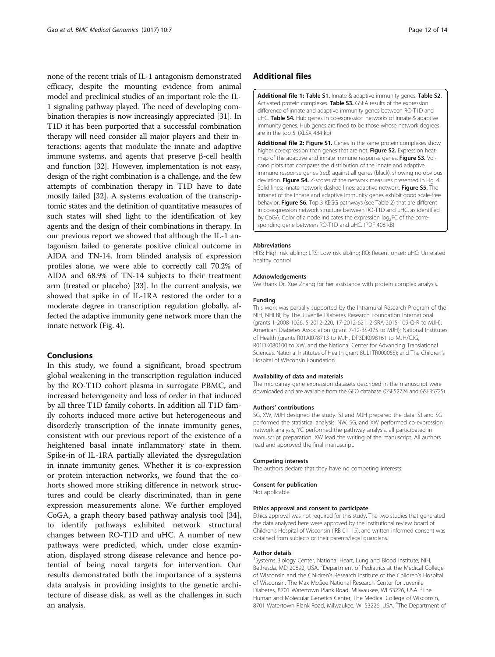<span id="page-11-0"></span>none of the recent trials of IL-1 antagonism demonstrated efficacy, despite the mounting evidence from animal model and preclinical studies of an important role the IL-1 signaling pathway played. The need of developing combination therapies is now increasingly appreciated [\[31\]](#page-12-0). In T1D it has been purported that a successful combination therapy will need consider all major players and their interactions: agents that modulate the innate and adaptive immune systems, and agents that preserve β-cell health and function [\[32\]](#page-12-0). However, implementation is not easy, design of the right combination is a challenge, and the few attempts of combination therapy in T1D have to date mostly failed [\[32\]](#page-12-0). A systems evaluation of the transcriptomic states and the definition of quantitative measures of such states will shed light to the identification of key agents and the design of their combinations in therapy. In our previous report we showed that although the IL-1 antagonism failed to generate positive clinical outcome in AIDA and TN-14, from blinded analysis of expression profiles alone, we were able to correctly call 70.2% of AIDA and 68.9% of TN-14 subjects to their treatment arm (treated or placebo) [\[33\]](#page-12-0). In the current analysis, we showed that spike in of IL-1RA restored the order to a moderate degree in transcription regulation globally, affected the adaptive immunity gene network more than the innate network (Fig. [4](#page-8-0)).

### Conclusions

In this study, we found a significant, broad spectrum global weakening in the transcription regulation induced by the RO-T1D cohort plasma in surrogate PBMC, and increased heterogeneity and loss of order in that induced by all three T1D family cohorts. In addition all T1D family cohorts induced more active but heterogeneous and disorderly transcription of the innate immunity genes, consistent with our previous report of the existence of a heightened basal innate inflammatory state in them. Spike-in of IL-1RA partially alleviated the dysregulation in innate immunity genes. Whether it is co-expression or protein interaction networks, we found that the cohorts showed more striking difference in network structures and could be clearly discriminated, than in gene expression measurements alone. We further employed CoGA, a graph theory based pathway analysis tool [\[34](#page-12-0)], to identify pathways exhibited network structural changes between RO-T1D and uHC. A number of new pathways were predicted, which, under close examination, displayed strong disease relevance and hence potential of being noval targets for intervention. Our results demonstrated both the importance of a systems data analysis in providing insights to the genetic architecture of disease disk, as well as the challenges in such an analysis.

## Additional files

[Additional file 1:](dx.doi.org/10.1186/s12920-017-0243-8) Table S1. Innate & adaptive immunity genes. Table S2. Activated protein complexes. Table S3. GSEA results of the expression difference of innate and adaptive immunity genes between RO-T1D and uHC. Table S4. Hub genes in co-expression networks of innate & adaptive immunity genes. Hub genes are fined to be those whose network degrees are in the top 5. (XLSX 484 kb)

[Additional file 2:](dx.doi.org/10.1186/s12920-017-0243-8) Figure S1. Genes in the same protein complexes show higher co-expression than genes that are not. Figure S2. Expression heatmap of the adaptive and innate immune response genes. Figure S3. Volcano plots that compares the distribution of the innate and adaptive immune response genes (red) against all genes (black), showing no obvious deviation. Figure S4. Z-scores of the network measures presented in Fig. 4. Solid lines: innate network; dashed lines: adaptive network. Figure S5. The intranet of the innate and adaptive immunity genes exhibit good scale-free behavior. Figure S6. Top 3 KEGG pathways (see Table 2) that are different in co-expression network structure between RO-T1D and uHC, as identified by CoGA. Color of a node indicates the expression log<sub>2</sub>FC of the corresponding gene between RO-T1D and uHC. (PDF 408 kB)

#### Abbreviations

HRS: High risk sibling; LRS: Low risk sibling; RO: Recent onset; uHC: Unrelated healthy control

#### Acknowledgements

We thank Dr. Xue Zhang for her assistance with protein complex analysis.

#### Funding

This work was partially supported by the Intramural Research Program of the NIH, NHLBI; by The Juvenile Diabetes Research Foundation International (grants 1-2008-1026, 5-2012-220, 17-2012-621, 2-SRA-2015-109-Q-R to MJH); American Diabetes Association (grant 7-12-BS-075 to MJH); National Institutes of Health (grants R01AI078713 to MJH, DP3DK098161 to MJH/CJG, R01DK080100 to XW, and the National Center for Advancing Translational Sciences, National Institutes of Health grant 8UL1TR000055); and The Children's Hospital of Wisconsin Foundation.

#### Availability of data and materials

The microarray gene expression datasets described in the manuscript were downloaded and are available from the GEO database (GSE52724 and GSE35725).

#### Authors' contributions

SG, XW, MJH designed the study. SJ and MJH prepared the data. SJ and SG performed the statistical analysis. NW, SG, and XW performed co-expression network analysis, YC performed the pathway analysis, all participated in manuscript preparation. XW lead the writing of the manuscript. All authors read and approved the final manuscript.

#### Competing interests

The authors declare that they have no competing interests.

#### Consent for publication

Not applicable.

#### Ethics approval and consent to participate

Ethics approval was not required for this study. The two studies that generated the data analyzed here were approved by the institutional review board of Children's Hospital of Wisconsin (IRB 01–15), and written informed consent was obtained from subjects or their parents/legal guardians.

#### Author details

<sup>1</sup>Systems Biology Center, National Heart, Lung and Blood Institute, NIH, Bethesda, MD 20892, USA. <sup>2</sup>Department of Pediatrics at the Medical College of Wisconsin and the Children's Research Institute of the Children's Hospital of Wisconsin, The Max McGee National Research Center for Juvenile Diabetes, 8701 Watertown Plank Road, Milwaukee, WI 53226, USA. <sup>3</sup>The Human and Molecular Genetics Center, The Medical College of Wisconsin, 8701 Watertown Plank Road, Milwaukee, WI 53226, USA. <sup>4</sup>The Department of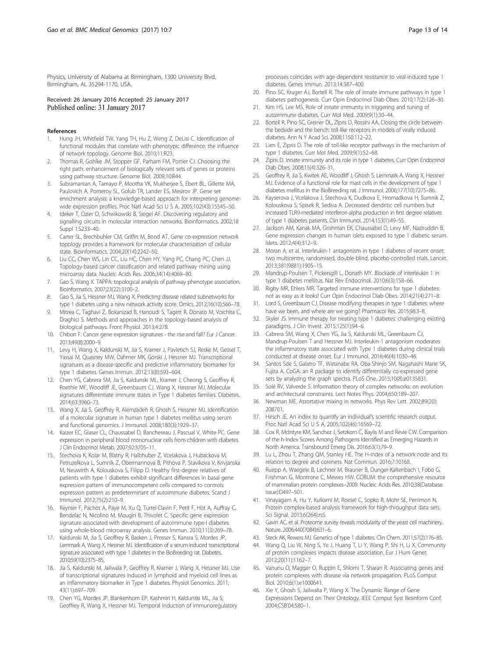<span id="page-12-0"></span>Physics, University of Alabama at Birmingham, 1300 University Blvd, Birmingham, AL 35294-1170, USA.

Received: 26 January 2016 Accepted: 25 January 2017 Published online: 31 January 2017

#### References

- 1. Hung JH, Whitfield TW, Yang TH, Hu Z, Weng Z, DeLisi C. Identification of functional modules that correlate with phenotypic difference: the influence of network topology. Genome Biol. 2010;11:R23.
- 2. Thomas R, Gohlke JM, Stopper GF, Parham FM, Portier CJ. Choosing the right path: enhancement of biologically relevant sets of genes or proteins using pathway structure. Genome Biol. 2009;10:R44.
- 3. Subramanian A, Tamayo P, Mootha VK, Mukherjee S, Ebert BL, Gillette MA, Paulovich A, Pomeroy SL, Golub TR, Lander ES, Mesirov JP. Gene set enrichment analysis: a knowledge-based approach for interpreting genomewide expression profiles. Proc Natl Acad Sci U S A. 2005;102(43):15545–50.
- 4. Ideker T, Ozier O, Schwikowski B, Siegel AF. Discovering regulatory and signalling circuits in molecular interaction networks. Bioinformatics. 2002;18 Suppl 1:S233–40.
- 5. Carter SL, Brechbuhler CM, Griffin M, Bond AT. Gene co-expression network topology provides a framework for molecular characterization of cellular state. Bioinformatics. 2004;20(14):2242–50.
- 6. Liu CC, Chen WS, Lin CC, Liu HC, Chen HY, Yang PC, Chang PC, Chen JJ. Topology-based cancer classification and related pathway mining using microarray data. Nucleic Acids Res. 2006;34(14):4069–80.
- 7. Gao S, Wang X. TAPPA: topological analysis of pathway phenotype association. Bioinformatics. 2007;23(22):3100–2.
- 8. Gao S, Jia S, Hessner MJ, Wang X. Predicting disease related subnetworks for type 1 diabetes using a new network activity score. Omics. 2012;16(10):566–78.
- 9. Mitrea C, Taghavi Z, Bokanizad B, Hanoudi S, Tagett R, Donato M, Voichita C, Draghici S. Methods and approaches in the topology-based analysis of biological pathways. Front Physiol. 2013;4:278.
- 10. Chibon F. Cancer gene expression signatures the rise and fall? Eur J Cancer. 2013;49(8):2000–9.
- 11. Levy H, Wang X, Kaldunski M, Jia S, Kramer J, Pavletich SJ, Reske M, Gessel T, Yassai M, Quasney MW, Dahmer MK, Gorski J, Hessner MJ. Transcriptional signatures as a disease-specific and predictive inflammatory biomarker for type 1 diabetes. Genes Immun. 2012;13(8):593–604.
- 12. Chen YG, Cabrera SM, Jia S, Kaldunski ML, Kramer J, Cheong S, Geoffrey R, Roethle MF, Woodliff JE, Greenbaum CJ, Wang X, Hessner MJ. Molecular signatures differentiate immune states in Type 1 diabetes families. Diabetes. 2014;63:3960–73.
- 13. Wang X, Jia S, Geoffrey R, Alemzadeh R, Ghosh S, Hessner MJ. Identification of a molecular signature in human type 1 diabetes mellitus using serum and functional genomics. J Immunol. 2008;180(3):1929–37.
- 14. Kaizer EC, Glaser CL, Chaussabel D, Banchereau J, Pascual V, White PC. Gene expression in peripheral blood mononuclear cells from children with diabetes. J Clin Endocrinol Metab. 2007;92:3705–11.
- 15. Stechova K, Kolar M, Blatny R, Halbhuber Z, Vcelakova J, Hubackova M, Petruzelkova L, Sumnik Z, Obermannova B, Pithova P, Stavikova V, Krivjanska M, Neuwirth A, Kolouskova S, Filipp D. Healthy first-degree relatives of patients with type 1 diabetes exhibit significant differences in basal gene expression pattern of immunocompetent cells compared to controls: expression pattern as predeterminant of autoimmune diabetes. Scand J Immunol. 2012;75(2):210–9.
- 16. Reynier F, Pachot A, Paye M, Xu Q, Turrel-Davin F, Petit F, Hot A, Auffray C, Bendelac N, Nicolino M, Mougin B, Thivolet C. Specific gene expression signature associated with development of autoimmune type-I diabetes using whole-blood microarray analysis. Genes Immun. 2010;11(3):269–78.
- 17. Kaldunski M, Jia S, Geoffrey R, Basken J, Prosser S, Kansra S, Mordes JP, Lernmark A, Wang X, Hessner MJ. Identification of a serum-induced transcriptional signature associated with type 1 diabetes in the BioBreeding rat. Diabetes. 2010;59(10):2375–85.
- 18. Jia S, Kaldunski M, Jailwala P, Geoffrey R, Kramer J, Wang X, Hessner MJ. Use of transcriptional signatures induced in lymphoid and myeloid cell lines as an inflammatory biomarker in Type 1 diabetes. Physiol Genomics. 2011; 43(11):697–709.
- 19. Chen YG, Mordes JP, Blankenhorn EP, Kashmiri H, Kaldunski ML, Jia S, Geoffrey R, Wang X, Hessner MJ. Temporal induction of immunoregulatory
- 20. Pino SC, Kruger AJ, Bortell R. The role of innate immune pathways in type 1 diabetes pathogenesis. Curr Opin Endocrinol Diab Obes. 2010;17(2):126–30.
- 21. Kim HS, Lee MS. Role of innate immunity in triggering and tuning of autoimmune diabetes. Curr Mol Med. 2009;9(1):30–44.
- 22. Bortell R, Pino SC, Greiner DL, Zipris D, Rossini AA. Closing the circle between the bedside and the bench: toll-like receptors in models of virally induced diabetes. Ann N Y Acad Sci. 2008;1150:112–22.
- 23. Lien E, Zipris D. The role of toll-like receptor pathways in the mechanism of type 1 diabetes. Curr Mol Med. 2009;9(1):52–68.
- 24. Zipris D. Innate immunity and its role in type 1 diabetes. Curr Opin Endocrinol Diab Obes. 2008;15(4):326–31.
- 25. Geoffrey R, Jia S, Kwitek AE, Woodliff J, Ghosh S, Lernmark A, Wang X, Hessner MJ. Evidence of a functional role for mast cells in the development of type 1 diabetes mellitus in the BioBreeding rat. J Immunol. 2006;177(10):7275–86.
- 26. Kayserova J, Vcelakova J, Stechova K, Dudkova E, Hromadkova H, Sumnik Z, Kolouskova S, Spisek R, Sediva A. Decreased dendritic cell numbers but increased TLR9-mediated interferon-alpha production in first degree relatives of type 1 diabetes patients. Clin Immunol. 2014;153(1):49–55.
- 27. Jackson AM, Kanak MA, Grishman EK, Chaussabel D, Levy MF, Naziruddin B. Gene expression changes in human islets exposed to type 1 diabetic serum. Islets. 2012;4(4):312–9.
- 28. Moran A, et al. Interleukin-1 antagonism in type 1 diabetes of recent onset: two multicentre, randomised, double-blind, placebo-controlled trials. Lancet. 2013;381(9881):1905–15.
- 29. Mandrup-Poulsen T, Pickersgill L, Donath MY. Blockade of interleukin 1 in type 1 diabetes mellitus. Nat Rev Endocrinol. 2010;6(3):158–66.
- 30. Rigby MR, Ehlers MR. Targeted immune interventions for type 1 diabetes: not as easy as it looks! Curr Opin Endocrinol Diab Obes. 2014;21(4):271–8.
- 31. Lord S, Greenbaum CJ. Disease modifying therapies in type 1 diabetes: where have we been, and where are we going? Pharmacol Res. 2015;98:3–8.
- 32. Skyler JS. Immune therapy for treating type 1 diabetes: challenging existing paradigms. J Clin Invest. 2015;125(1):94–6.
- 33. Cabrera SM, Wang X, Chen YG, Jia S, Kaldunski ML, Greenbaum CJ, Mandrup-Poulsen T and Hessner MJ. Interleukin-1 antagonism moderates the inflammatory state associated with Type 1 diabetes during clinical trials conducted at disease onset. Eur J Immunol. 2016;46(4):1030–46.
- 34. Santos Sde S, Galatro TF, Watanabe RA, Oba-Shinjo SM, Nagahashi Marie SK, Fujita A. CoGA: an R package to identify differentially co-expressed gene sets by analyzing the graph spectra. PLoS One. 2015;10(8):e0135831.
- 35. Solé RV, Valverde S. Information theory of complex networks: on evolution and architectural constraints. Lect Notes Phys. 2004;650:189–207.
- 36. Newman ME. Assortative mixing in networks. Phys Rev Lett. 2002;89(20): 208701.
- 37. Hirsch JE. An index to quantify an individual's scientific research output. Proc Natl Acad Sci U S A. 2005;102(46):16569–72.
- 38. Cox R, McIntyre KM, Sanchez J, Setzkorn C, Baylis M and Revie CW. Comparison of the h-Index Scores Among Pathogens Identified as Emerging Hazards in North America. Transbound Emerg Dis. 2016;63(1):79–9.
- 39. Lu L, Zhou T, Zhang QM, Stanley HE. The H-index of a network node and its relation to degree and coreness. Nat Commun. 2016;7:10168.
- 40. Ruepp A, Waegele B, Lechner M, Brauner B, Dunger-Kaltenbach I, Fobo G, Frishman G, Montrone C, Mewes HW. CORUM: the comprehensive resource of mammalian protein complexes–2009. Nucleic Acids Res. 2010;38(Database issue):D497–501.
- 41. Vinayagam A, Hu Y, Kulkarni M, Roesel C, Sopko R, Mohr SE, Perrimon N. Protein complex-based analysis framework for high-throughput data sets. Sci Signal. 2013;6(264):rs5.
- 42. Gavin AC, et al. Proteome survey reveals modularity of the yeast cell machinery. Nature. 2006;440(7084):631–6.
- 43. Steck AK, Rewers MJ. Genetics of type 1 diabetes. Clin Chem. 2011;57(2):176–85.
- 44. Wang Q, Liu W, Ning S, Ye J, Huang T, Li Y, Wang P, Shi H, Li X. Community of protein complexes impacts disease association. Eur J Hum Genet. 2012;20(11):1162–7.
- 45. Vanunu O, Magger O, Ruppin E, Shlomi T, Sharan R. Associating genes and protein complexes with disease via network propagation. PLoS Comput Biol. 2010;6(1):e1000641.
- 46. Xie Y, Ghosh S, Jailwalia P, Wang X. The Dynamic Range of Gene Expressions Depend on Their Ontology. IEEE Comput Syst Bioinform Conf. 2004;CSB'04:580–1.